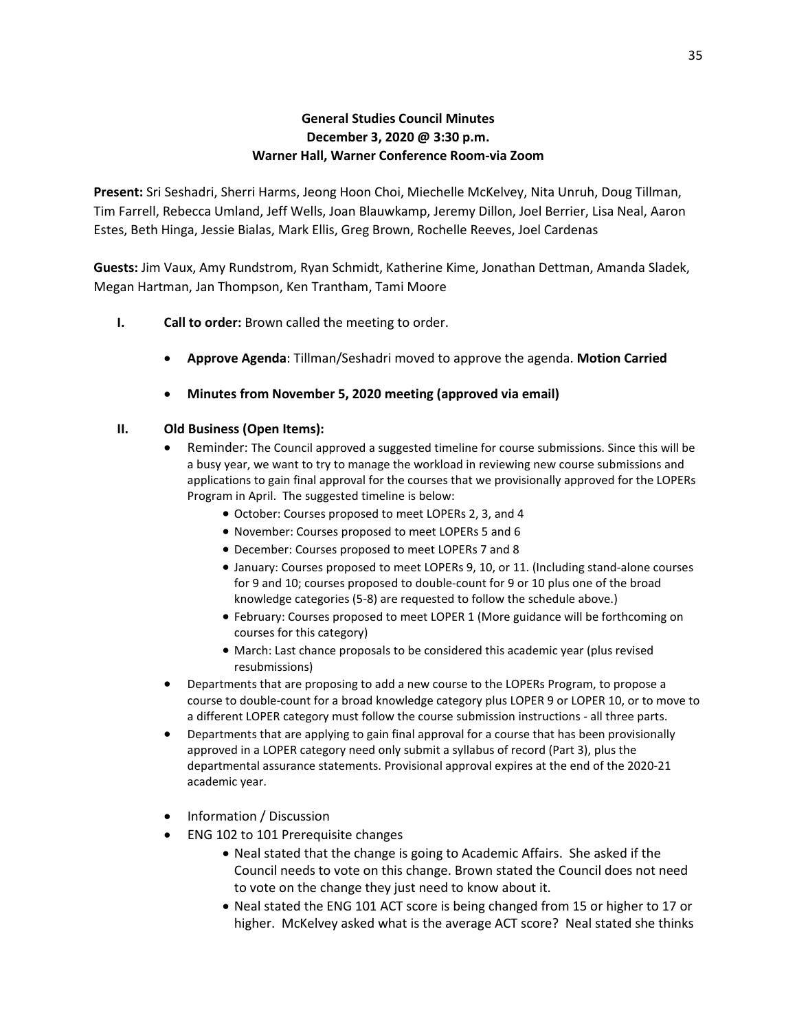## **General Studies Council Minutes December 3, 2020 @ 3:30 p.m. Warner Hall, Warner Conference Room-via Zoom**

**Present:** Sri Seshadri, Sherri Harms, Jeong Hoon Choi, Miechelle McKelvey, Nita Unruh, Doug Tillman, Tim Farrell, Rebecca Umland, Jeff Wells, Joan Blauwkamp, Jeremy Dillon, Joel Berrier, Lisa Neal, Aaron Estes, Beth Hinga, Jessie Bialas, Mark Ellis, Greg Brown, Rochelle Reeves, Joel Cardenas

**Guests:** Jim Vaux, Amy Rundstrom, Ryan Schmidt, Katherine Kime, Jonathan Dettman, Amanda Sladek, Megan Hartman, Jan Thompson, Ken Trantham, Tami Moore

- **I. Call to order:** Brown called the meeting to order.
	- **Approve Agenda**: Tillman/Seshadri moved to approve the agenda. **Motion Carried**
	- **Minutes from November 5, 2020 meeting (approved via email)**

## **II. Old Business (Open Items):**

- Reminder: The Council approved a suggested timeline for course submissions. Since this will be a busy year, we want to try to manage the workload in reviewing new course submissions and applications to gain final approval for the courses that we provisionally approved for the LOPERs Program in April. The suggested timeline is below:
	- October: Courses proposed to meet LOPERs 2, 3, and 4
	- November: Courses proposed to meet LOPERs 5 and 6
	- December: Courses proposed to meet LOPERs 7 and 8
	- January: Courses proposed to meet LOPERs 9, 10, or 11. (Including stand-alone courses for 9 and 10; courses proposed to double-count for 9 or 10 plus one of the broad knowledge categories (5-8) are requested to follow the schedule above.)
	- February: Courses proposed to meet LOPER 1 (More guidance will be forthcoming on courses for this category)
	- March: Last chance proposals to be considered this academic year (plus revised resubmissions)
- Departments that are proposing to add a new course to the LOPERs Program, to propose a course to double-count for a broad knowledge category plus LOPER 9 or LOPER 10, or to move to a different LOPER category must follow the course submission instructions - all three parts.
- Departments that are applying to gain final approval for a course that has been provisionally approved in a LOPER category need only submit a syllabus of record (Part 3), plus the departmental assurance statements. Provisional approval expires at the end of the 2020-21 academic year.
- Information / Discussion
- ENG 102 to 101 Prerequisite changes
	- Neal stated that the change is going to Academic Affairs. She asked if the Council needs to vote on this change. Brown stated the Council does not need to vote on the change they just need to know about it.
	- Neal stated the ENG 101 ACT score is being changed from 15 or higher to 17 or higher. McKelvey asked what is the average ACT score? Neal stated she thinks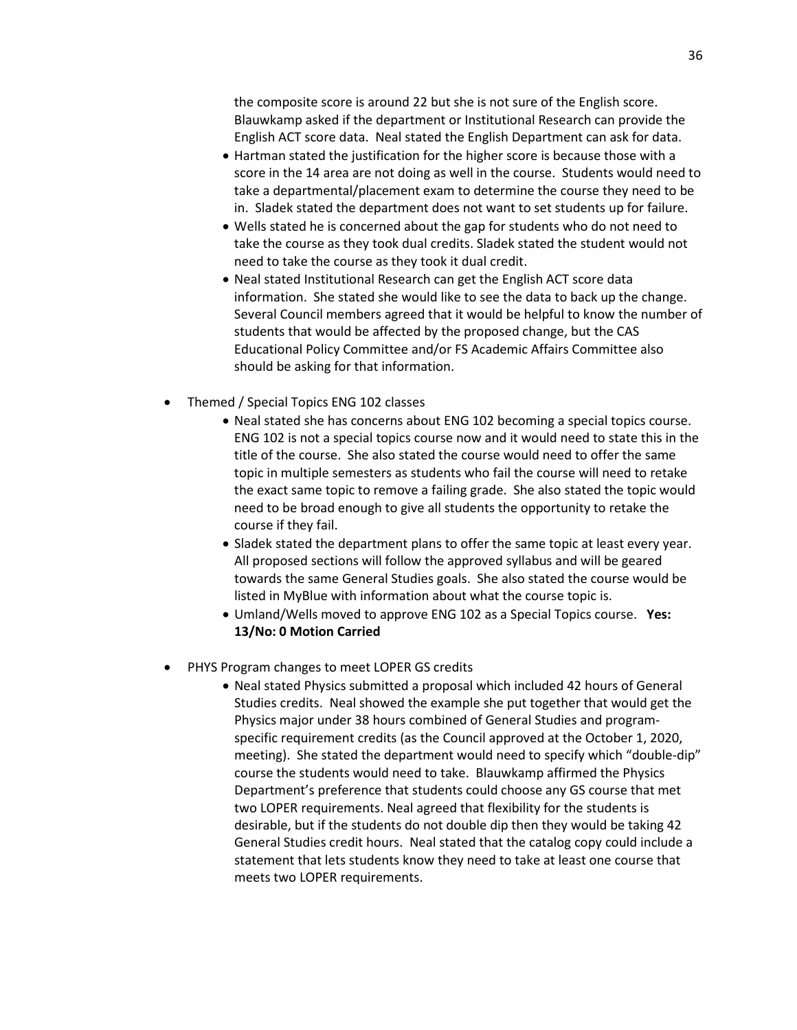the composite score is around 22 but she is not sure of the English score. Blauwkamp asked if the department or Institutional Research can provide the English ACT score data. Neal stated the English Department can ask for data.

- Hartman stated the justification for the higher score is because those with a score in the 14 area are not doing as well in the course. Students would need to take a departmental/placement exam to determine the course they need to be in. Sladek stated the department does not want to set students up for failure.
- Wells stated he is concerned about the gap for students who do not need to take the course as they took dual credits. Sladek stated the student would not need to take the course as they took it dual credit.
- Neal stated Institutional Research can get the English ACT score data information. She stated she would like to see the data to back up the change. Several Council members agreed that it would be helpful to know the number of students that would be affected by the proposed change, but the CAS Educational Policy Committee and/or FS Academic Affairs Committee also should be asking for that information.
- Themed / Special Topics ENG 102 classes
	- Neal stated she has concerns about ENG 102 becoming a special topics course. ENG 102 is not a special topics course now and it would need to state this in the title of the course. She also stated the course would need to offer the same topic in multiple semesters as students who fail the course will need to retake the exact same topic to remove a failing grade. She also stated the topic would need to be broad enough to give all students the opportunity to retake the course if they fail.
	- Sladek stated the department plans to offer the same topic at least every year. All proposed sections will follow the approved syllabus and will be geared towards the same General Studies goals. She also stated the course would be listed in MyBlue with information about what the course topic is.
	- Umland/Wells moved to approve ENG 102 as a Special Topics course. **Yes: 13/No: 0 Motion Carried**
- PHYS Program changes to meet LOPER GS credits
	- Neal stated Physics submitted a proposal which included 42 hours of General Studies credits. Neal showed the example she put together that would get the Physics major under 38 hours combined of General Studies and programspecific requirement credits (as the Council approved at the October 1, 2020, meeting). She stated the department would need to specify which "double-dip" course the students would need to take. Blauwkamp affirmed the Physics Department's preference that students could choose any GS course that met two LOPER requirements. Neal agreed that flexibility for the students is desirable, but if the students do not double dip then they would be taking 42 General Studies credit hours. Neal stated that the catalog copy could include a statement that lets students know they need to take at least one course that meets two LOPER requirements.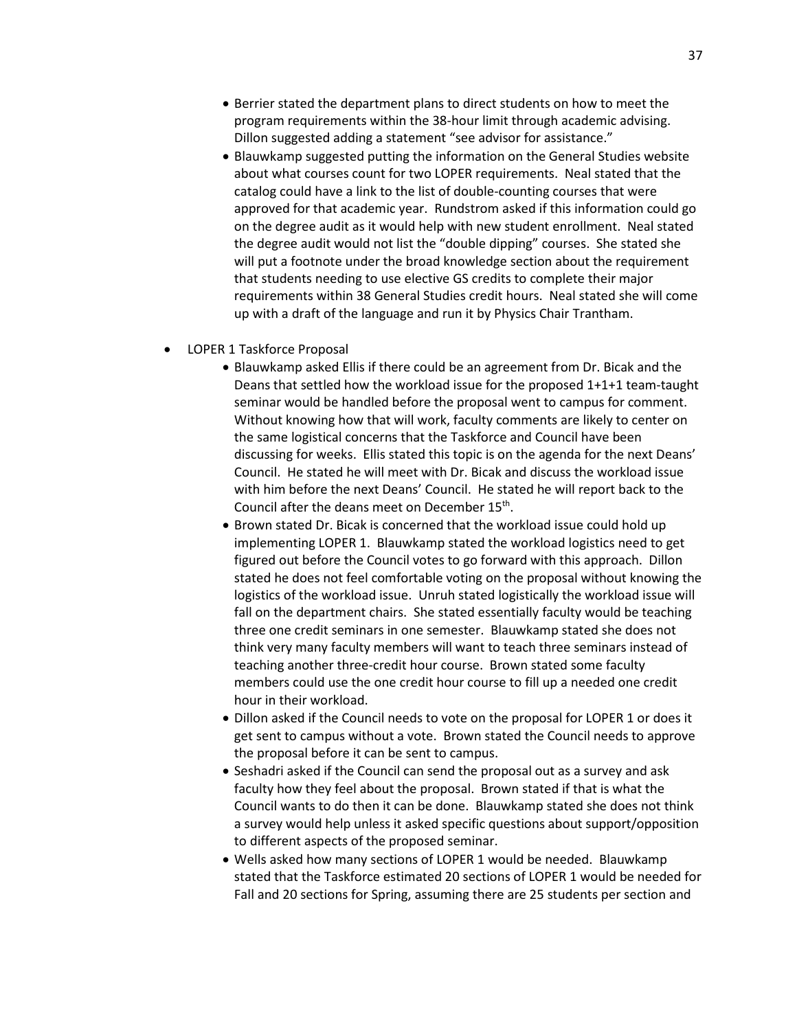- Berrier stated the department plans to direct students on how to meet the program requirements within the 38-hour limit through academic advising. Dillon suggested adding a statement "see advisor for assistance."
- Blauwkamp suggested putting the information on the General Studies website about what courses count for two LOPER requirements. Neal stated that the catalog could have a link to the list of double-counting courses that were approved for that academic year. Rundstrom asked if this information could go on the degree audit as it would help with new student enrollment. Neal stated the degree audit would not list the "double dipping" courses. She stated she will put a footnote under the broad knowledge section about the requirement that students needing to use elective GS credits to complete their major requirements within 38 General Studies credit hours. Neal stated she will come up with a draft of the language and run it by Physics Chair Trantham.
- LOPER 1 Taskforce Proposal
	- Blauwkamp asked Ellis if there could be an agreement from Dr. Bicak and the Deans that settled how the workload issue for the proposed 1+1+1 team-taught seminar would be handled before the proposal went to campus for comment. Without knowing how that will work, faculty comments are likely to center on the same logistical concerns that the Taskforce and Council have been discussing for weeks. Ellis stated this topic is on the agenda for the next Deans' Council. He stated he will meet with Dr. Bicak and discuss the workload issue with him before the next Deans' Council. He stated he will report back to the Council after the deans meet on December 15<sup>th</sup>.
	- Brown stated Dr. Bicak is concerned that the workload issue could hold up implementing LOPER 1. Blauwkamp stated the workload logistics need to get figured out before the Council votes to go forward with this approach. Dillon stated he does not feel comfortable voting on the proposal without knowing the logistics of the workload issue. Unruh stated logistically the workload issue will fall on the department chairs. She stated essentially faculty would be teaching three one credit seminars in one semester. Blauwkamp stated she does not think very many faculty members will want to teach three seminars instead of teaching another three-credit hour course. Brown stated some faculty members could use the one credit hour course to fill up a needed one credit hour in their workload.
	- Dillon asked if the Council needs to vote on the proposal for LOPER 1 or does it get sent to campus without a vote. Brown stated the Council needs to approve the proposal before it can be sent to campus.
	- Seshadri asked if the Council can send the proposal out as a survey and ask faculty how they feel about the proposal. Brown stated if that is what the Council wants to do then it can be done. Blauwkamp stated she does not think a survey would help unless it asked specific questions about support/opposition to different aspects of the proposed seminar.
	- Wells asked how many sections of LOPER 1 would be needed. Blauwkamp stated that the Taskforce estimated 20 sections of LOPER 1 would be needed for Fall and 20 sections for Spring, assuming there are 25 students per section and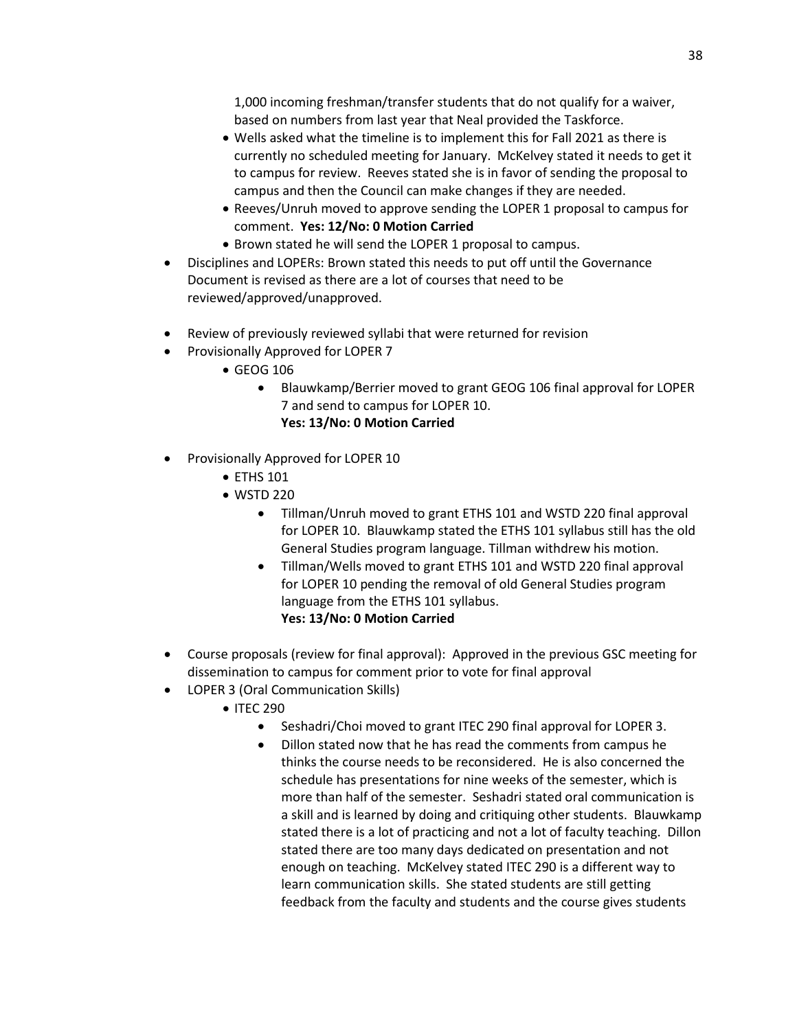1,000 incoming freshman/transfer students that do not qualify for a waiver, based on numbers from last year that Neal provided the Taskforce.

- Wells asked what the timeline is to implement this for Fall 2021 as there is currently no scheduled meeting for January. McKelvey stated it needs to get it to campus for review. Reeves stated she is in favor of sending the proposal to campus and then the Council can make changes if they are needed.
- Reeves/Unruh moved to approve sending the LOPER 1 proposal to campus for comment. **Yes: 12/No: 0 Motion Carried**
- Brown stated he will send the LOPER 1 proposal to campus.
- Disciplines and LOPERs: Brown stated this needs to put off until the Governance Document is revised as there are a lot of courses that need to be reviewed/approved/unapproved.
- Review of previously reviewed syllabi that were returned for revision
- Provisionally Approved for LOPER 7
	- GEOG 106
		- Blauwkamp/Berrier moved to grant GEOG 106 final approval for LOPER 7 and send to campus for LOPER 10. **Yes: 13/No: 0 Motion Carried**
- Provisionally Approved for LOPER 10
	- ETHS 101
	- WSTD 220
		- Tillman/Unruh moved to grant ETHS 101 and WSTD 220 final approval for LOPER 10. Blauwkamp stated the ETHS 101 syllabus still has the old General Studies program language. Tillman withdrew his motion.
		- Tillman/Wells moved to grant ETHS 101 and WSTD 220 final approval for LOPER 10 pending the removal of old General Studies program language from the ETHS 101 syllabus.

## **Yes: 13/No: 0 Motion Carried**

- Course proposals (review for final approval): Approved in the previous GSC meeting for dissemination to campus for comment prior to vote for final approval
- LOPER 3 (Oral Communication Skills)
	- ITEC 290
		- Seshadri/Choi moved to grant ITEC 290 final approval for LOPER 3.
		- Dillon stated now that he has read the comments from campus he thinks the course needs to be reconsidered. He is also concerned the schedule has presentations for nine weeks of the semester, which is more than half of the semester. Seshadri stated oral communication is a skill and is learned by doing and critiquing other students. Blauwkamp stated there is a lot of practicing and not a lot of faculty teaching. Dillon stated there are too many days dedicated on presentation and not enough on teaching. McKelvey stated ITEC 290 is a different way to learn communication skills. She stated students are still getting feedback from the faculty and students and the course gives students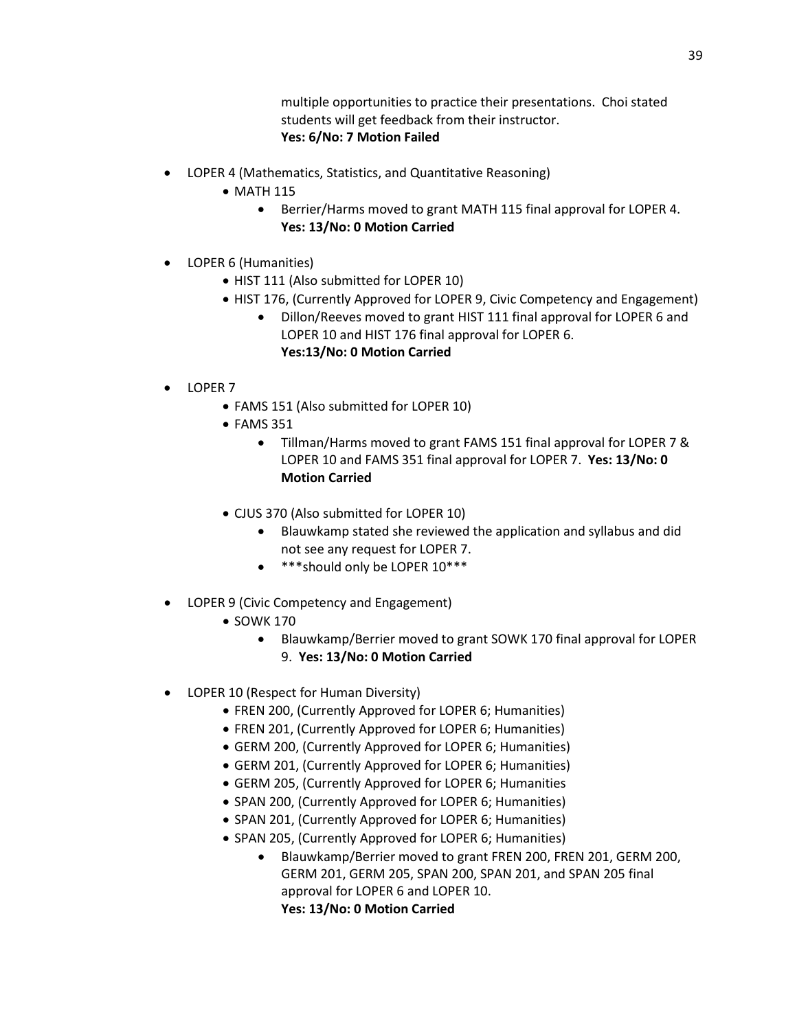multiple opportunities to practice their presentations. Choi stated students will get feedback from their instructor. **Yes: 6/No: 7 Motion Failed**

- LOPER 4 (Mathematics, Statistics, and Quantitative Reasoning)
	- MATH 115
		- Berrier/Harms moved to grant MATH 115 final approval for LOPER 4. **Yes: 13/No: 0 Motion Carried**
- LOPER 6 (Humanities)
	- HIST 111 (Also submitted for LOPER 10)
	- HIST 176, (Currently Approved for LOPER 9, Civic Competency and Engagement)
		- Dillon/Reeves moved to grant HIST 111 final approval for LOPER 6 and LOPER 10 and HIST 176 final approval for LOPER 6.
			- **Yes:13/No: 0 Motion Carried**
- LOPER 7
	- FAMS 151 (Also submitted for LOPER 10)
	- FAMS 351
		- Tillman/Harms moved to grant FAMS 151 final approval for LOPER 7 & LOPER 10 and FAMS 351 final approval for LOPER 7. **Yes: 13/No: 0 Motion Carried**
	- CJUS 370 (Also submitted for LOPER 10)
		- Blauwkamp stated she reviewed the application and syllabus and did not see any request for LOPER 7.
		- \*\*\*should only be LOPER 10\*\*\*
- LOPER 9 (Civic Competency and Engagement)
	- SOWK 170
		- Blauwkamp/Berrier moved to grant SOWK 170 final approval for LOPER 9. **Yes: 13/No: 0 Motion Carried**
- LOPER 10 (Respect for Human Diversity)
	- FREN 200, (Currently Approved for LOPER 6; Humanities)
	- FREN 201, (Currently Approved for LOPER 6; Humanities)
	- GERM 200, (Currently Approved for LOPER 6; Humanities)
	- GERM 201, (Currently Approved for LOPER 6; Humanities)
	- GERM 205, (Currently Approved for LOPER 6; Humanities
	- SPAN 200, (Currently Approved for LOPER 6; Humanities)
	- SPAN 201, (Currently Approved for LOPER 6; Humanities)
	- SPAN 205, (Currently Approved for LOPER 6; Humanities)
		- Blauwkamp/Berrier moved to grant FREN 200, FREN 201, GERM 200, GERM 201, GERM 205, SPAN 200, SPAN 201, and SPAN 205 final approval for LOPER 6 and LOPER 10. **Yes: 13/No: 0 Motion Carried**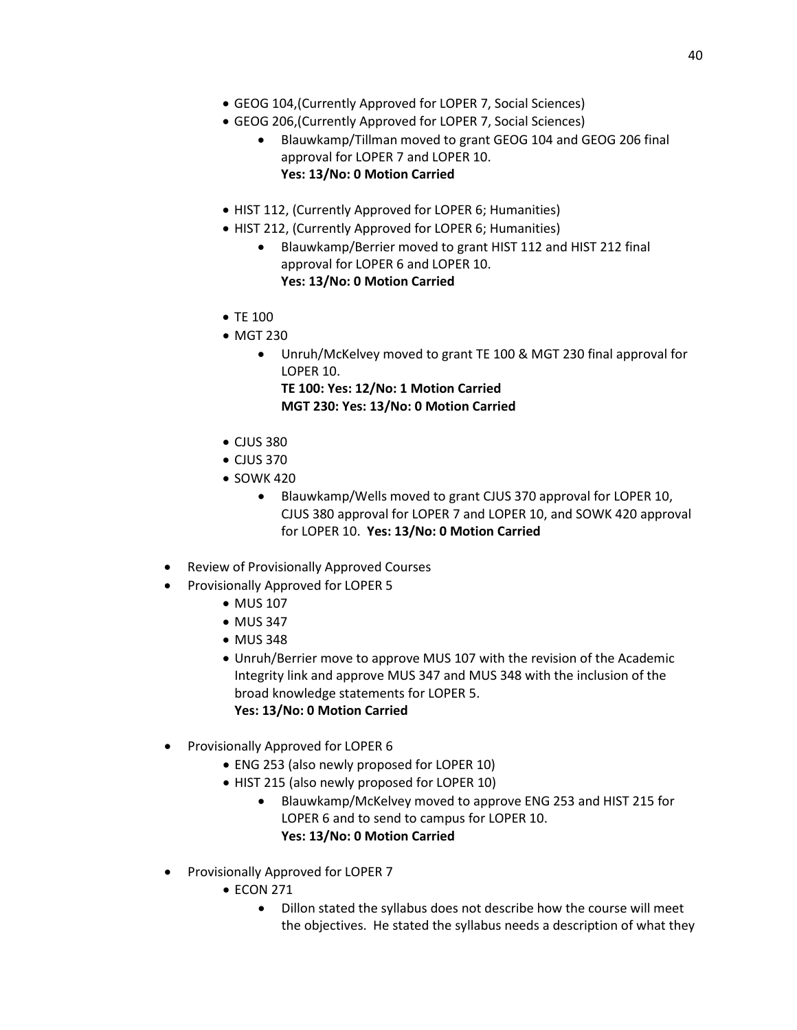- GEOG 104,(Currently Approved for LOPER 7, Social Sciences)
- GEOG 206,(Currently Approved for LOPER 7, Social Sciences)
	- Blauwkamp/Tillman moved to grant GEOG 104 and GEOG 206 final approval for LOPER 7 and LOPER 10. **Yes: 13/No: 0 Motion Carried**
- HIST 112, (Currently Approved for LOPER 6; Humanities)
- HIST 212, (Currently Approved for LOPER 6; Humanities)
	- Blauwkamp/Berrier moved to grant HIST 112 and HIST 212 final approval for LOPER 6 and LOPER 10. **Yes: 13/No: 0 Motion Carried**
- TE 100
- MGT 230
	- Unruh/McKelvey moved to grant TE 100 & MGT 230 final approval for LOPER 10.

**TE 100: Yes: 12/No: 1 Motion Carried MGT 230: Yes: 13/No: 0 Motion Carried**

- CJUS 380
- CJUS 370
- SOWK 420
	- Blauwkamp/Wells moved to grant CJUS 370 approval for LOPER 10, CJUS 380 approval for LOPER 7 and LOPER 10, and SOWK 420 approval for LOPER 10. **Yes: 13/No: 0 Motion Carried**
- Review of Provisionally Approved Courses
- Provisionally Approved for LOPER 5
	- MUS 107
	- MUS 347
	- MUS 348
	- Unruh/Berrier move to approve MUS 107 with the revision of the Academic Integrity link and approve MUS 347 and MUS 348 with the inclusion of the broad knowledge statements for LOPER 5. **Yes: 13/No: 0 Motion Carried**
- Provisionally Approved for LOPER 6
	- ENG 253 (also newly proposed for LOPER 10)
	- HIST 215 (also newly proposed for LOPER 10)
		- Blauwkamp/McKelvey moved to approve ENG 253 and HIST 215 for LOPER 6 and to send to campus for LOPER 10. **Yes: 13/No: 0 Motion Carried**
- Provisionally Approved for LOPER 7
	- ECON 271
		- Dillon stated the syllabus does not describe how the course will meet the objectives. He stated the syllabus needs a description of what they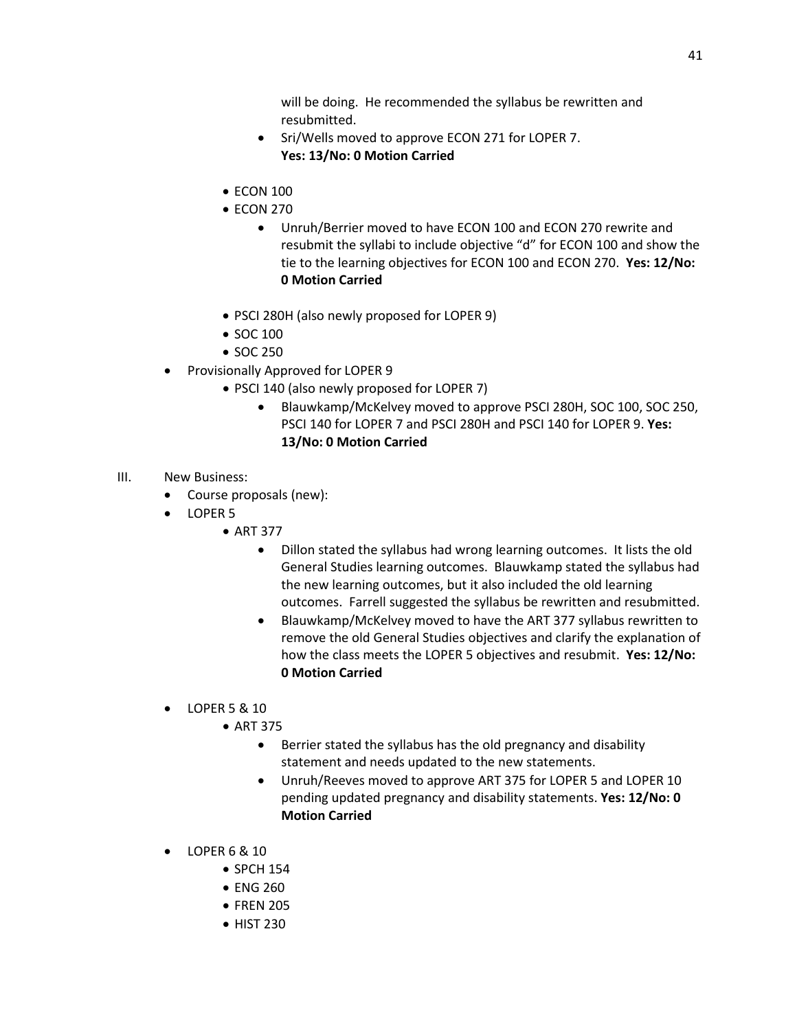will be doing. He recommended the syllabus be rewritten and resubmitted.

- Sri/Wells moved to approve ECON 271 for LOPER 7. **Yes: 13/No: 0 Motion Carried**
- ECON 100
- ECON 270
	- Unruh/Berrier moved to have ECON 100 and ECON 270 rewrite and resubmit the syllabi to include objective "d" for ECON 100 and show the tie to the learning objectives for ECON 100 and ECON 270. **Yes: 12/No: 0 Motion Carried**
- PSCI 280H (also newly proposed for LOPER 9)
- SOC 100
- SOC 250
- Provisionally Approved for LOPER 9
	- PSCI 140 (also newly proposed for LOPER 7)
		- Blauwkamp/McKelvey moved to approve PSCI 280H, SOC 100, SOC 250, PSCI 140 for LOPER 7 and PSCI 280H and PSCI 140 for LOPER 9. **Yes: 13/No: 0 Motion Carried**
- III. New Business:
	- Course proposals (new):
	- LOPER 5
		- ART 377
			- Dillon stated the syllabus had wrong learning outcomes. It lists the old General Studies learning outcomes. Blauwkamp stated the syllabus had the new learning outcomes, but it also included the old learning outcomes. Farrell suggested the syllabus be rewritten and resubmitted.
			- Blauwkamp/McKelvey moved to have the ART 377 syllabus rewritten to remove the old General Studies objectives and clarify the explanation of how the class meets the LOPER 5 objectives and resubmit. **Yes: 12/No: 0 Motion Carried**
	- LOPER 5 & 10
		- ART 375
			- Berrier stated the syllabus has the old pregnancy and disability statement and needs updated to the new statements.
			- Unruh/Reeves moved to approve ART 375 for LOPER 5 and LOPER 10 pending updated pregnancy and disability statements. **Yes: 12/No: 0 Motion Carried**
	- LOPER 6 & 10
		- SPCH 154
		- ENG 260
		- FREN 205
		- HIST 230